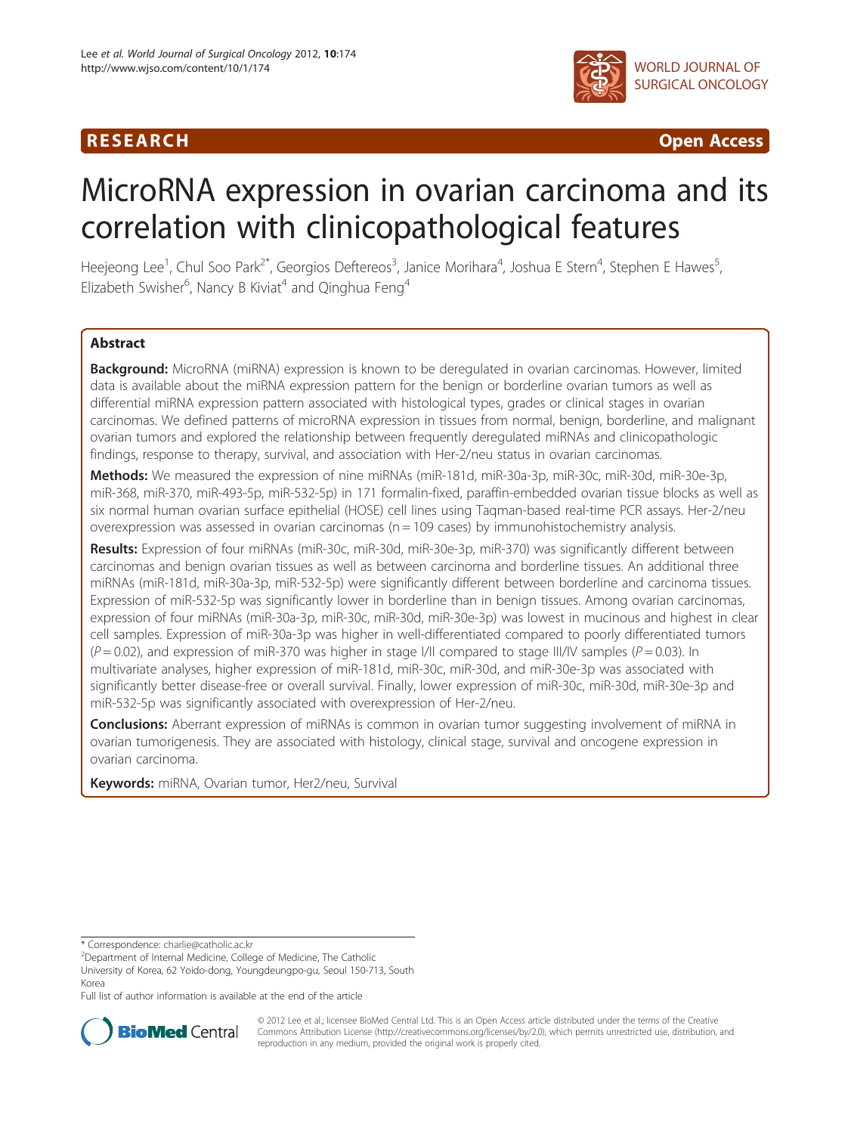## R E S EAR CH Open Access



# MicroRNA expression in ovarian carcinoma and its correlation with clinicopathological features

Heejeong Lee<sup>1</sup>, Chul Soo Park<sup>2\*</sup>, Georgios Deftereos<sup>3</sup>, Janice Morihara<sup>4</sup>, Joshua E Stern<sup>4</sup>, Stephen E Hawes<sup>5</sup> , Elizabeth Swisher<sup>6</sup>, Nancy B Kiviat<sup>4</sup> and Qinghua Feng<sup>4</sup>

## Abstract

Background: MicroRNA (miRNA) expression is known to be deregulated in ovarian carcinomas. However, limited data is available about the miRNA expression pattern for the benign or borderline ovarian tumors as well as differential miRNA expression pattern associated with histological types, grades or clinical stages in ovarian carcinomas. We defined patterns of microRNA expression in tissues from normal, benign, borderline, and malignant ovarian tumors and explored the relationship between frequently deregulated miRNAs and clinicopathologic findings, response to therapy, survival, and association with Her-2/neu status in ovarian carcinomas.

Methods: We measured the expression of nine miRNAs (miR-181d, miR-30a-3p, miR-30c, miR-30d, miR-30e-3p, miR-368, miR-370, miR-493-5p, miR-532-5p) in 171 formalin-fixed, paraffin-embedded ovarian tissue blocks as well as six normal human ovarian surface epithelial (HOSE) cell lines using Taqman-based real-time PCR assays. Her-2/neu overexpression was assessed in ovarian carcinomas ( $n = 109$  cases) by immunohistochemistry analysis.

Results: Expression of four miRNAs (miR-30c, miR-30d, miR-30e-3p, miR-370) was significantly different between carcinomas and benign ovarian tissues as well as between carcinoma and borderline tissues. An additional three miRNAs (miR-181d, miR-30a-3p, miR-532-5p) were significantly different between borderline and carcinoma tissues. Expression of miR-532-5p was significantly lower in borderline than in benign tissues. Among ovarian carcinomas, expression of four miRNAs (miR-30a-3p, miR-30c, miR-30d, miR-30e-3p) was lowest in mucinous and highest in clear cell samples. Expression of miR-30a-3p was higher in well-differentiated compared to poorly differentiated tumors  $(P = 0.02)$ , and expression of miR-370 was higher in stage I/II compared to stage III/IV samples ( $P = 0.03$ ). In multivariate analyses, higher expression of miR-181d, miR-30c, miR-30d, and miR-30e-3p was associated with significantly better disease-free or overall survival. Finally, lower expression of miR-30c, miR-30d, miR-30e-3p and miR-532-5p was significantly associated with overexpression of Her-2/neu.

**Conclusions:** Aberrant expression of miRNAs is common in ovarian tumor suggesting involvement of miRNA in ovarian tumorigenesis. They are associated with histology, clinical stage, survival and oncogene expression in ovarian carcinoma.

Keywords: miRNA, Ovarian tumor, Her2/neu, Survival

\* Correspondence: [charlie@catholic.ac.kr](mailto:charlie@catholic.ac.kr) <sup>2</sup>

Department of Internal Medicine, College of Medicine, The Catholic

University of Korea, 62 Yoido-dong, Youngdeungpo-gu, Seoul 150-713, South Korea

Full list of author information is available at the end of the article



© 2012 Lee et al.; licensee BioMed Central Ltd. This is an Open Access article distributed under the terms of the Creative Commons Attribution License [\(http://creativecommons.org/licenses/by/2.0\)](http://creativecommons.org/licenses/by/2.0), which permits unrestricted use, distribution, and reproduction in any medium, provided the original work is properly cited.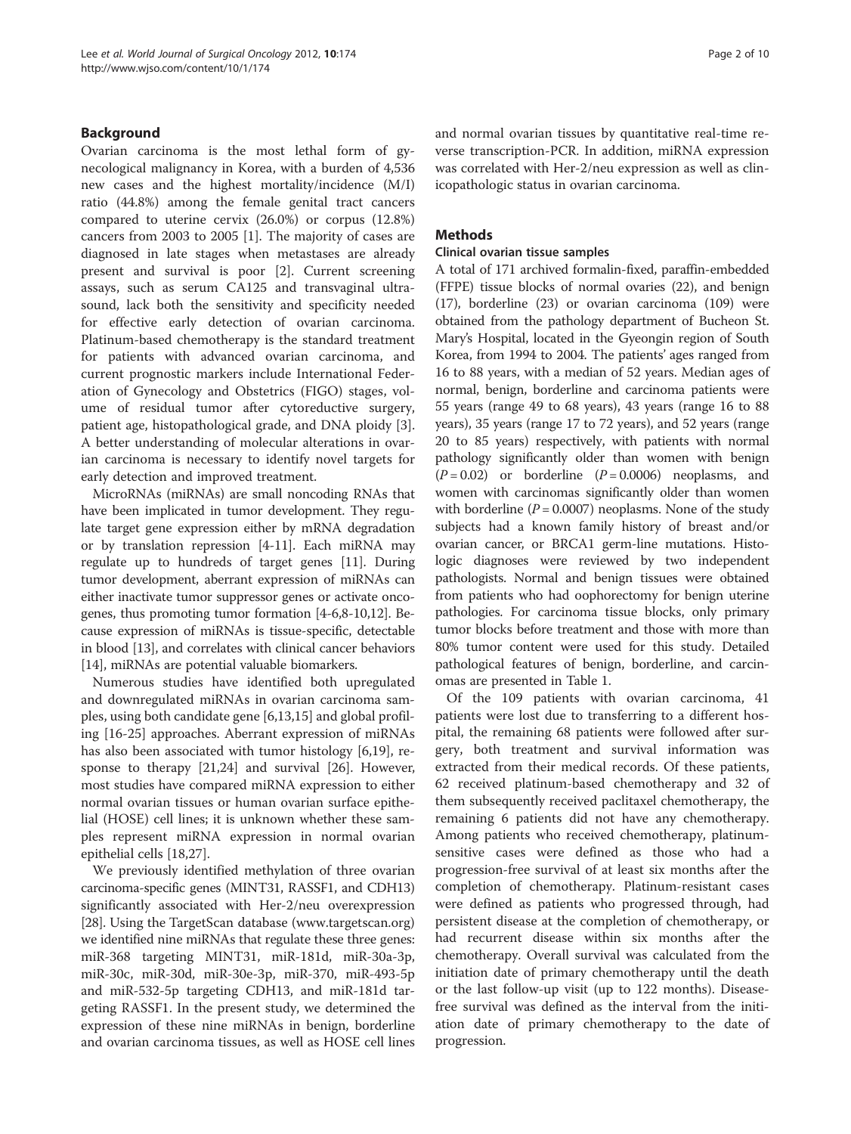## Background

Ovarian carcinoma is the most lethal form of gynecological malignancy in Korea, with a burden of 4,536 new cases and the highest mortality/incidence (M/I) ratio (44.8%) among the female genital tract cancers compared to uterine cervix (26.0%) or corpus (12.8%) cancers from 2003 to 2005 [\[1](#page-7-0)]. The majority of cases are diagnosed in late stages when metastases are already present and survival is poor [[2\]](#page-8-0). Current screening assays, such as serum CA125 and transvaginal ultrasound, lack both the sensitivity and specificity needed for effective early detection of ovarian carcinoma. Platinum-based chemotherapy is the standard treatment for patients with advanced ovarian carcinoma, and current prognostic markers include International Federation of Gynecology and Obstetrics (FIGO) stages, volume of residual tumor after cytoreductive surgery, patient age, histopathological grade, and DNA ploidy [\[3](#page-8-0)]. A better understanding of molecular alterations in ovarian carcinoma is necessary to identify novel targets for early detection and improved treatment.

MicroRNAs (miRNAs) are small noncoding RNAs that have been implicated in tumor development. They regulate target gene expression either by mRNA degradation or by translation repression [[4-11\]](#page-8-0). Each miRNA may regulate up to hundreds of target genes [[11](#page-8-0)]. During tumor development, aberrant expression of miRNAs can either inactivate tumor suppressor genes or activate oncogenes, thus promoting tumor formation [\[4-6,8-10,12\]](#page-8-0). Because expression of miRNAs is tissue-specific, detectable in blood [[13](#page-8-0)], and correlates with clinical cancer behaviors [[14](#page-8-0)], miRNAs are potential valuable biomarkers.

Numerous studies have identified both upregulated and downregulated miRNAs in ovarian carcinoma samples, using both candidate gene [\[6,13,15](#page-8-0)] and global profiling [[16-25](#page-8-0)] approaches. Aberrant expression of miRNAs has also been associated with tumor histology [\[6,19](#page-8-0)], response to therapy [[21,24\]](#page-8-0) and survival [\[26\]](#page-8-0). However, most studies have compared miRNA expression to either normal ovarian tissues or human ovarian surface epithelial (HOSE) cell lines; it is unknown whether these samples represent miRNA expression in normal ovarian epithelial cells [[18,27\]](#page-8-0).

We previously identified methylation of three ovarian carcinoma-specific genes (MINT31, RASSF1, and CDH13) significantly associated with Her-2/neu overexpression [[28](#page-8-0)]. Using the TargetScan database [\(www.targetscan.org](http://www.targetscan.org)) we identified nine miRNAs that regulate these three genes: miR-368 targeting MINT31, miR-181d, miR-30a-3p, miR-30c, miR-30d, miR-30e-3p, miR-370, miR-493-5p and miR-532-5p targeting CDH13, and miR-181d targeting RASSF1. In the present study, we determined the expression of these nine miRNAs in benign, borderline and ovarian carcinoma tissues, as well as HOSE cell lines and normal ovarian tissues by quantitative real-time reverse transcription-PCR. In addition, miRNA expression was correlated with Her-2/neu expression as well as clinicopathologic status in ovarian carcinoma.

### Methods

#### Clinical ovarian tissue samples

A total of 171 archived formalin-fixed, paraffin-embedded (FFPE) tissue blocks of normal ovaries (22), and benign (17), borderline (23) or ovarian carcinoma (109) were obtained from the pathology department of Bucheon St. Mary's Hospital, located in the Gyeongin region of South Korea, from 1994 to 2004. The patients' ages ranged from 16 to 88 years, with a median of 52 years. Median ages of normal, benign, borderline and carcinoma patients were 55 years (range 49 to 68 years), 43 years (range 16 to 88 years), 35 years (range 17 to 72 years), and 52 years (range 20 to 85 years) respectively, with patients with normal pathology significantly older than women with benign  $(P = 0.02)$  or borderline  $(P = 0.0006)$  neoplasms, and women with carcinomas significantly older than women with borderline  $(P = 0.0007)$  neoplasms. None of the study subjects had a known family history of breast and/or ovarian cancer, or BRCA1 germ-line mutations. Histologic diagnoses were reviewed by two independent pathologists. Normal and benign tissues were obtained from patients who had oophorectomy for benign uterine pathologies. For carcinoma tissue blocks, only primary tumor blocks before treatment and those with more than 80% tumor content were used for this study. Detailed pathological features of benign, borderline, and carcinomas are presented in Table [1.](#page-2-0)

Of the 109 patients with ovarian carcinoma, 41 patients were lost due to transferring to a different hospital, the remaining 68 patients were followed after surgery, both treatment and survival information was extracted from their medical records. Of these patients, 62 received platinum-based chemotherapy and 32 of them subsequently received paclitaxel chemotherapy, the remaining 6 patients did not have any chemotherapy. Among patients who received chemotherapy, platinumsensitive cases were defined as those who had a progression-free survival of at least six months after the completion of chemotherapy. Platinum-resistant cases were defined as patients who progressed through, had persistent disease at the completion of chemotherapy, or had recurrent disease within six months after the chemotherapy. Overall survival was calculated from the initiation date of primary chemotherapy until the death or the last follow-up visit (up to 122 months). Diseasefree survival was defined as the interval from the initiation date of primary chemotherapy to the date of progression.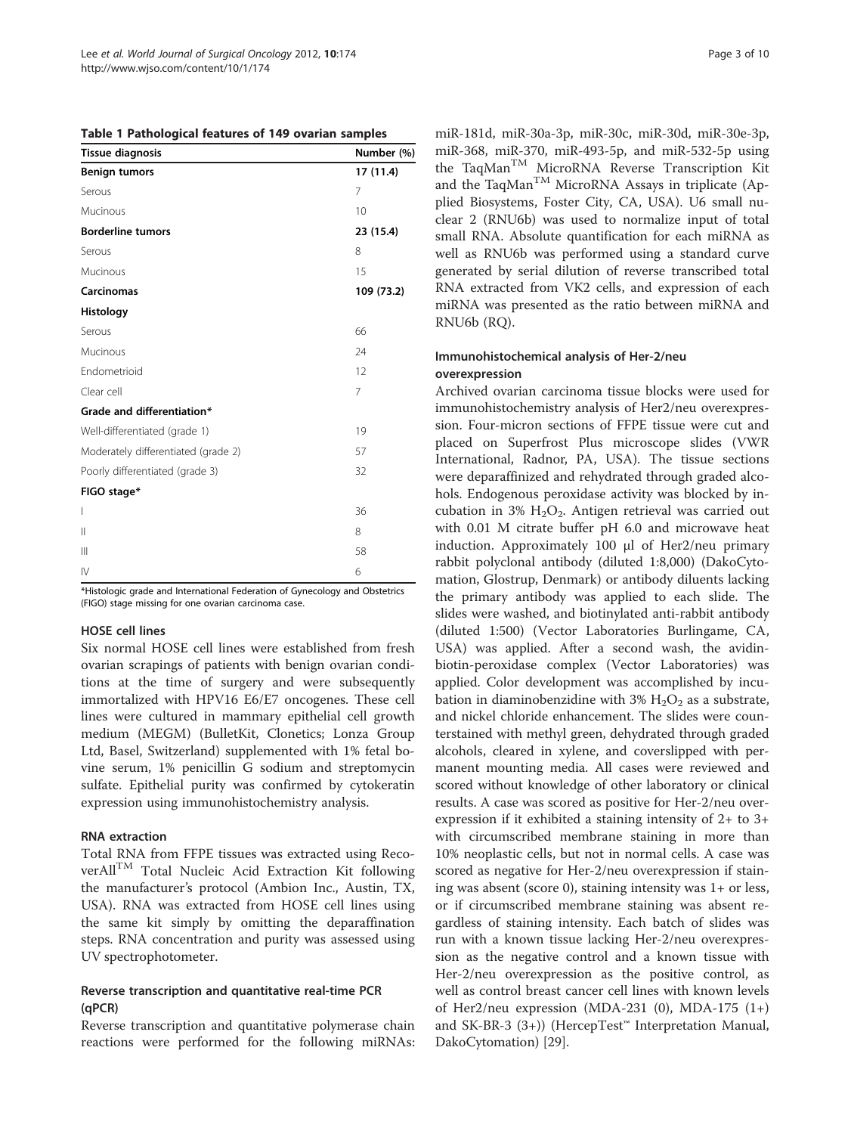<span id="page-2-0"></span>

|  |  | Table 1 Pathological features of 149 ovarian samples |  |  |
|--|--|------------------------------------------------------|--|--|
|--|--|------------------------------------------------------|--|--|

| <b>Tissue diagnosis</b>             | Number (%) |
|-------------------------------------|------------|
| <b>Benign tumors</b>                | 17 (11.4)  |
| Serous                              | 7          |
| Mucinous                            | 10         |
| <b>Borderline tumors</b>            | 23 (15.4)  |
| Serous                              | 8          |
| Mucinous                            | 15         |
| <b>Carcinomas</b>                   | 109 (73.2) |
| Histology                           |            |
| Serous                              | 66         |
| Mucinous                            | 24         |
| Endometrioid                        | 12         |
| Clear cell                          | 7          |
| Grade and differentiation*          |            |
| Well-differentiated (grade 1)       | 19         |
| Moderately differentiated (grade 2) | 57         |
| Poorly differentiated (grade 3)     | 32         |
| FIGO stage*                         |            |
| $\overline{\phantom{a}}$            | 36         |
| $\mathbf{  }$                       | 8          |
| $\mathbf{III}$                      | 58         |
| IV                                  | 6          |

\*Histologic grade and International Federation of Gynecology and Obstetrics (FIGO) stage missing for one ovarian carcinoma case.

#### HOSE cell lines

Six normal HOSE cell lines were established from fresh ovarian scrapings of patients with benign ovarian conditions at the time of surgery and were subsequently immortalized with HPV16 E6/E7 oncogenes. These cell lines were cultured in mammary epithelial cell growth medium (MEGM) (BulletKit, Clonetics; Lonza Group Ltd, Basel, Switzerland) supplemented with 1% fetal bovine serum, 1% penicillin G sodium and streptomycin sulfate. Epithelial purity was confirmed by cytokeratin expression using immunohistochemistry analysis.

#### RNA extraction

Total RNA from FFPE tissues was extracted using RecoverAllTM Total Nucleic Acid Extraction Kit following the manufacturer's protocol (Ambion Inc., Austin, TX, USA). RNA was extracted from HOSE cell lines using the same kit simply by omitting the deparaffination steps. RNA concentration and purity was assessed using UV spectrophotometer.

## Reverse transcription and quantitative real-time PCR (qPCR)

Reverse transcription and quantitative polymerase chain reactions were performed for the following miRNAs: miR-181d, miR-30a-3p, miR-30c, miR-30d, miR-30e-3p, miR-368, miR-370, miR-493-5p, and miR-532-5p using the TaqManTM MicroRNA Reverse Transcription Kit and the TaqMan<sup>TM</sup> MicroRNA Assays in triplicate (Applied Biosystems, Foster City, CA, USA). U6 small nuclear 2 (RNU6b) was used to normalize input of total small RNA. Absolute quantification for each miRNA as well as RNU6b was performed using a standard curve generated by serial dilution of reverse transcribed total RNA extracted from VK2 cells, and expression of each miRNA was presented as the ratio between miRNA and RNU6b (RQ).

## Immunohistochemical analysis of Her-2/neu overexpression

Archived ovarian carcinoma tissue blocks were used for immunohistochemistry analysis of Her2/neu overexpression. Four-micron sections of FFPE tissue were cut and placed on Superfrost Plus microscope slides (VWR International, Radnor, PA, USA). The tissue sections were deparaffinized and rehydrated through graded alcohols. Endogenous peroxidase activity was blocked by incubation in 3%  $H_2O_2$ . Antigen retrieval was carried out with 0.01 M citrate buffer pH 6.0 and microwave heat induction. Approximately 100 μl of Her2/neu primary rabbit polyclonal antibody (diluted 1:8,000) (DakoCytomation, Glostrup, Denmark) or antibody diluents lacking the primary antibody was applied to each slide. The slides were washed, and biotinylated anti-rabbit antibody (diluted 1:500) (Vector Laboratories Burlingame, CA, USA) was applied. After a second wash, the avidinbiotin-peroxidase complex (Vector Laboratories) was applied. Color development was accomplished by incubation in diaminobenzidine with  $3\%$  H<sub>2</sub>O<sub>2</sub> as a substrate, and nickel chloride enhancement. The slides were counterstained with methyl green, dehydrated through graded alcohols, cleared in xylene, and coverslipped with permanent mounting media. All cases were reviewed and scored without knowledge of other laboratory or clinical results. A case was scored as positive for Her-2/neu overexpression if it exhibited a staining intensity of 2+ to 3+ with circumscribed membrane staining in more than 10% neoplastic cells, but not in normal cells. A case was scored as negative for Her-2/neu overexpression if staining was absent (score 0), staining intensity was 1+ or less, or if circumscribed membrane staining was absent regardless of staining intensity. Each batch of slides was run with a known tissue lacking Her-2/neu overexpression as the negative control and a known tissue with Her-2/neu overexpression as the positive control, as well as control breast cancer cell lines with known levels of Her2/neu expression (MDA-231  $(0)$ , MDA-175  $(1+)$ and SK-BR-3 (3+)) (HercepTest™ Interpretation Manual, DakoCytomation) [\[29](#page-8-0)].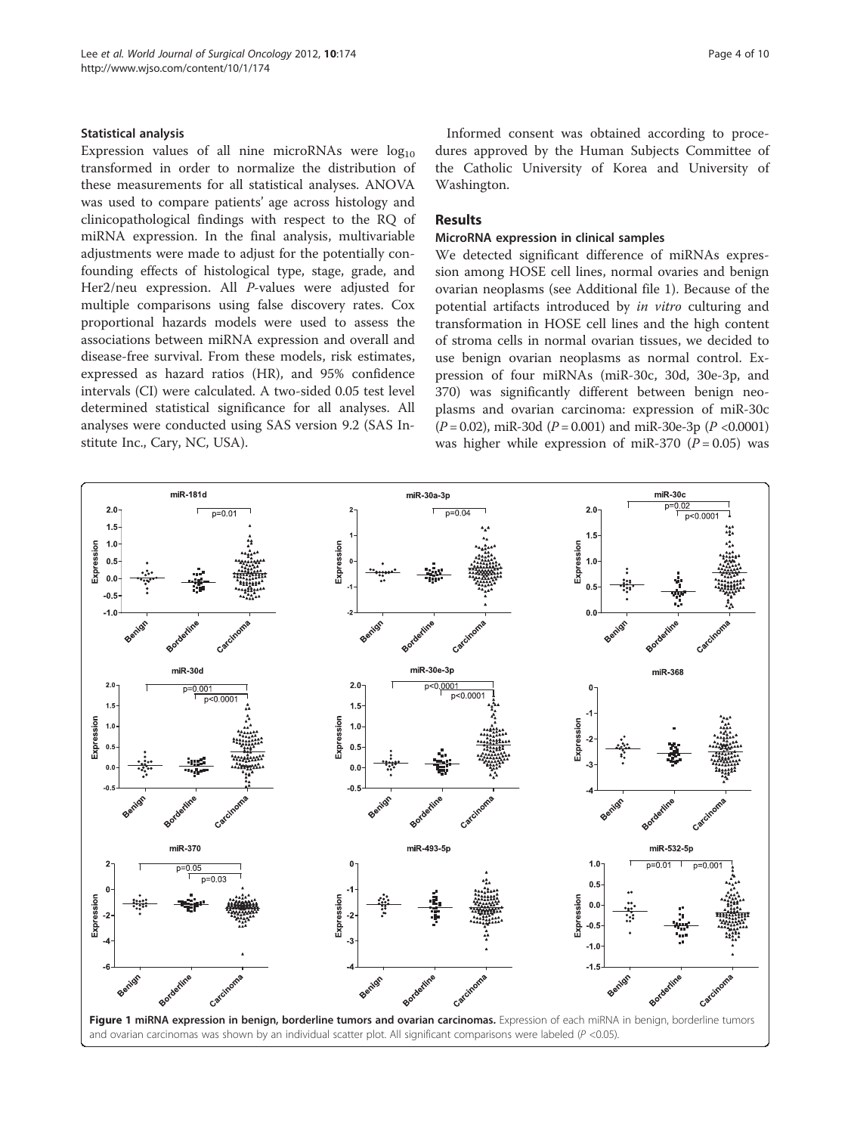#### <span id="page-3-0"></span>Statistical analysis

Expression values of all nine microRNAs were  $log_{10}$ transformed in order to normalize the distribution of these measurements for all statistical analyses. ANOVA was used to compare patients' age across histology and clinicopathological findings with respect to the RQ of miRNA expression. In the final analysis, multivariable adjustments were made to adjust for the potentially confounding effects of histological type, stage, grade, and Her2/neu expression. All P-values were adjusted for multiple comparisons using false discovery rates. Cox proportional hazards models were used to assess the associations between miRNA expression and overall and disease-free survival. From these models, risk estimates, expressed as hazard ratios (HR), and 95% confidence intervals (CI) were calculated. A two-sided 0.05 test level determined statistical significance for all analyses. All analyses were conducted using SAS version 9.2 (SAS Institute Inc., Cary, NC, USA).

Informed consent was obtained according to procedures approved by the Human Subjects Committee of the Catholic University of Korea and University of Washington.

## Results

## MicroRNA expression in clinical samples

We detected significant difference of miRNAs expression among HOSE cell lines, normal ovaries and benign ovarian neoplasms (see Additional file [1](#page-7-0)). Because of the potential artifacts introduced by in vitro culturing and transformation in HOSE cell lines and the high content of stroma cells in normal ovarian tissues, we decided to use benign ovarian neoplasms as normal control. Expression of four miRNAs (miR-30c, 30d, 30e-3p, and 370) was significantly different between benign neoplasms and ovarian carcinoma: expression of miR-30c  $(P = 0.02)$ , miR-30d  $(P = 0.001)$  and miR-30e-3p  $(P < 0.0001)$ was higher while expression of miR-370  $(P = 0.05)$  was

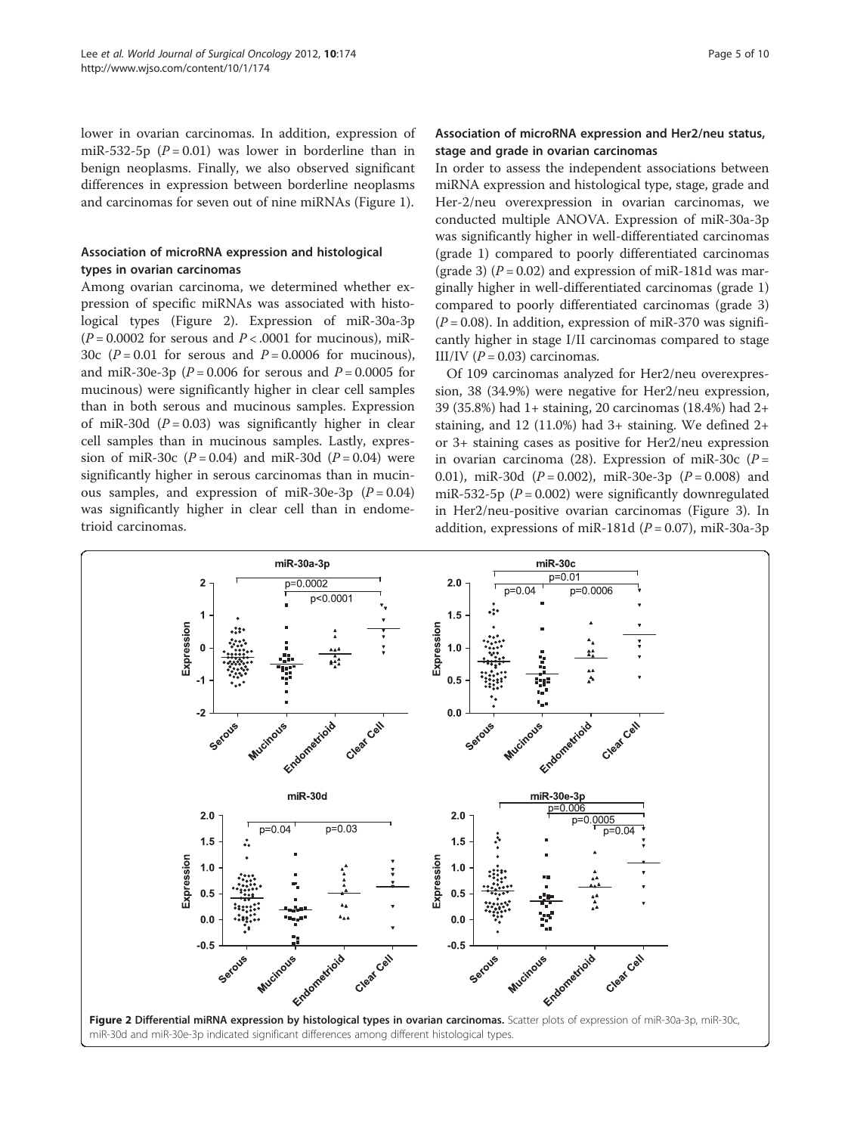lower in ovarian carcinomas. In addition, expression of miR-532-5p  $(P = 0.01)$  was lower in borderline than in benign neoplasms. Finally, we also observed significant differences in expression between borderline neoplasms and carcinomas for seven out of nine miRNAs (Figure [1\)](#page-3-0).

## Association of microRNA expression and histological types in ovarian carcinomas

Among ovarian carcinoma, we determined whether expression of specific miRNAs was associated with histological types (Figure 2). Expression of miR-30a-3p  $(P = 0.0002$  for serous and  $P < .0001$  for mucinous), miR-30c ( $P = 0.01$  for serous and  $P = 0.0006$  for mucinous), and miR-30e-3p ( $P = 0.006$  for serous and  $P = 0.0005$  for mucinous) were significantly higher in clear cell samples than in both serous and mucinous samples. Expression of miR-30d  $(P = 0.03)$  was significantly higher in clear cell samples than in mucinous samples. Lastly, expression of miR-30c ( $P = 0.04$ ) and miR-30d ( $P = 0.04$ ) were significantly higher in serous carcinomas than in mucinous samples, and expression of miR-30e-3p  $(P = 0.04)$ was significantly higher in clear cell than in endometrioid carcinomas.

## Association of microRNA expression and Her2/neu status, stage and grade in ovarian carcinomas

In order to assess the independent associations between miRNA expression and histological type, stage, grade and Her-2/neu overexpression in ovarian carcinomas, we conducted multiple ANOVA. Expression of miR-30a-3p was significantly higher in well-differentiated carcinomas (grade 1) compared to poorly differentiated carcinomas (grade 3) ( $P = 0.02$ ) and expression of miR-181d was marginally higher in well-differentiated carcinomas (grade 1) compared to poorly differentiated carcinomas (grade 3)  $(P = 0.08)$ . In addition, expression of miR-370 was significantly higher in stage I/II carcinomas compared to stage III/IV ( $P = 0.03$ ) carcinomas.

Of 109 carcinomas analyzed for Her2/neu overexpression, 38 (34.9%) were negative for Her2/neu expression, 39 (35.8%) had 1+ staining, 20 carcinomas (18.4%) had 2+ staining, and 12 (11.0%) had 3+ staining. We defined 2+ or 3+ staining cases as positive for Her2/neu expression in ovarian carcinoma (28). Expression of miR-30c ( $P =$ 0.01), miR-30d  $(P = 0.002)$ , miR-30e-3p  $(P = 0.008)$  and miR-532-5p ( $P = 0.002$ ) were significantly downregulated in Her2/neu-positive ovarian carcinomas (Figure [3](#page-5-0)). In addition, expressions of miR-181d ( $P = 0.07$ ), miR-30a-3p

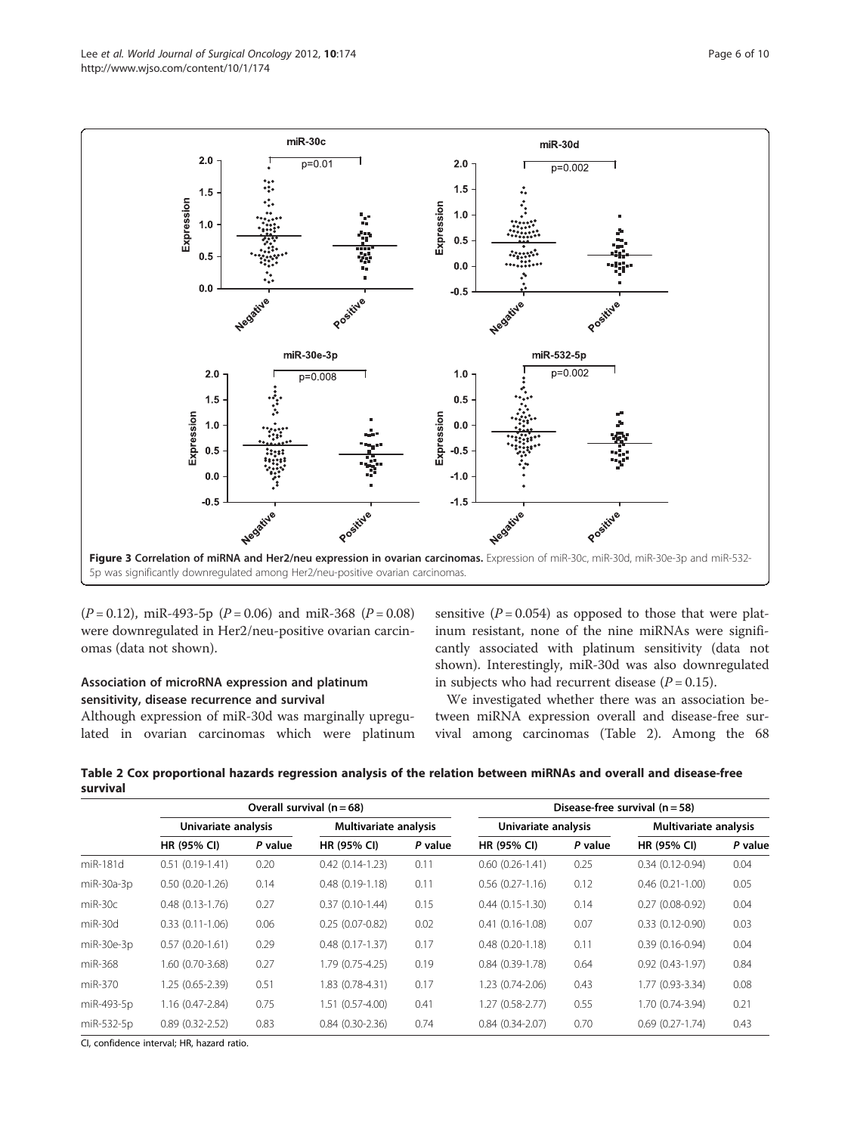<span id="page-5-0"></span>

 $(P = 0.12)$ , miR-493-5p  $(P = 0.06)$  and miR-368  $(P = 0.08)$ were downregulated in Her2/neu-positive ovarian carcinomas (data not shown).

## Association of microRNA expression and platinum sensitivity, disease recurrence and survival

Although expression of miR-30d was marginally upregulated in ovarian carcinomas which were platinum sensitive  $(P = 0.054)$  as opposed to those that were platinum resistant, none of the nine miRNAs were significantly associated with platinum sensitivity (data not shown). Interestingly, miR-30d was also downregulated in subjects who had recurrent disease  $(P = 0.15)$ .

We investigated whether there was an association between miRNA expression overall and disease-free survival among carcinomas (Table 2). Among the 68

Table 2 Cox proportional hazards regression analysis of the relation between miRNAs and overall and disease-free survival

|            | Overall survival $(n = 68)$ |         |                       |         | Disease-free survival $(n = 58)$ |         |                       |         |
|------------|-----------------------------|---------|-----------------------|---------|----------------------------------|---------|-----------------------|---------|
|            | Univariate analysis         |         | Multivariate analysis |         | Univariate analysis              |         | Multivariate analysis |         |
|            | HR (95% CI)                 | P value | HR (95% CI)           | P value | HR (95% CI)                      | P value | <b>HR (95% CI)</b>    | P value |
| miR-181d   | $0.51(0.19-1.41)$           | 0.20    | $0.42(0.14-1.23)$     | 0.11    | $0.60(0.26 - 1.41)$              | 0.25    | $0.34(0.12-0.94)$     | 0.04    |
| miR-30a-3p | $0.50(0.20-1.26)$           | 0.14    | $0.48(0.19-1.18)$     | 0.11    | $0.56(0.27-1.16)$                | 0.12    | $0.46(0.21-1.00)$     | 0.05    |
| $miR-30c$  | $0.48$ $(0.13 - 1.76)$      | 0.27    | $0.37(0.10-1.44)$     | 0.15    | $0.44(0.15-1.30)$                | 0.14    | $0.27(0.08-0.92)$     | 0.04    |
| $miR-30d$  | $0.33(0.11-1.06)$           | 0.06    | $0.25(0.07-0.82)$     | 0.02    | $0.41(0.16-1.08)$                | 0.07    | $0.33(0.12-0.90)$     | 0.03    |
| miR-30e-3p | $0.57(0.20-1.61)$           | 0.29    | $0.48(0.17 - 1.37)$   | 0.17    | $0.48(0.20-1.18)$                | 0.11    | $0.39(0.16-0.94)$     | 0.04    |
| miR-368    | 1.60 (0.70-3.68)            | 0.27    | 1.79 (0.75-4.25)      | 0.19    | $0.84(0.39-1.78)$                | 0.64    | $0.92(0.43-1.97)$     | 0.84    |
| miR-370    | 1.25 (0.65-2.39)            | 0.51    | 1.83 (0.78-4.31)      | 0.17    | 1.23 (0.74-2.06)                 | 0.43    | 1.77 (0.93-3.34)      | 0.08    |
| miR-493-5p | 1.16 (0.47-2.84)            | 0.75    | $1.51(0.57-4.00)$     | 0.41    | $1.27(0.58-2.77)$                | 0.55    | 1.70 (0.74-3.94)      | 0.21    |
| miR-532-5p | $0.89(0.32 - 2.52)$         | 0.83    | $0.84(0.30-2.36)$     | 0.74    | $0.84(0.34-2.07)$                | 0.70    | $0.69(0.27-1.74)$     | 0.43    |

CI, confidence interval; HR, hazard ratio.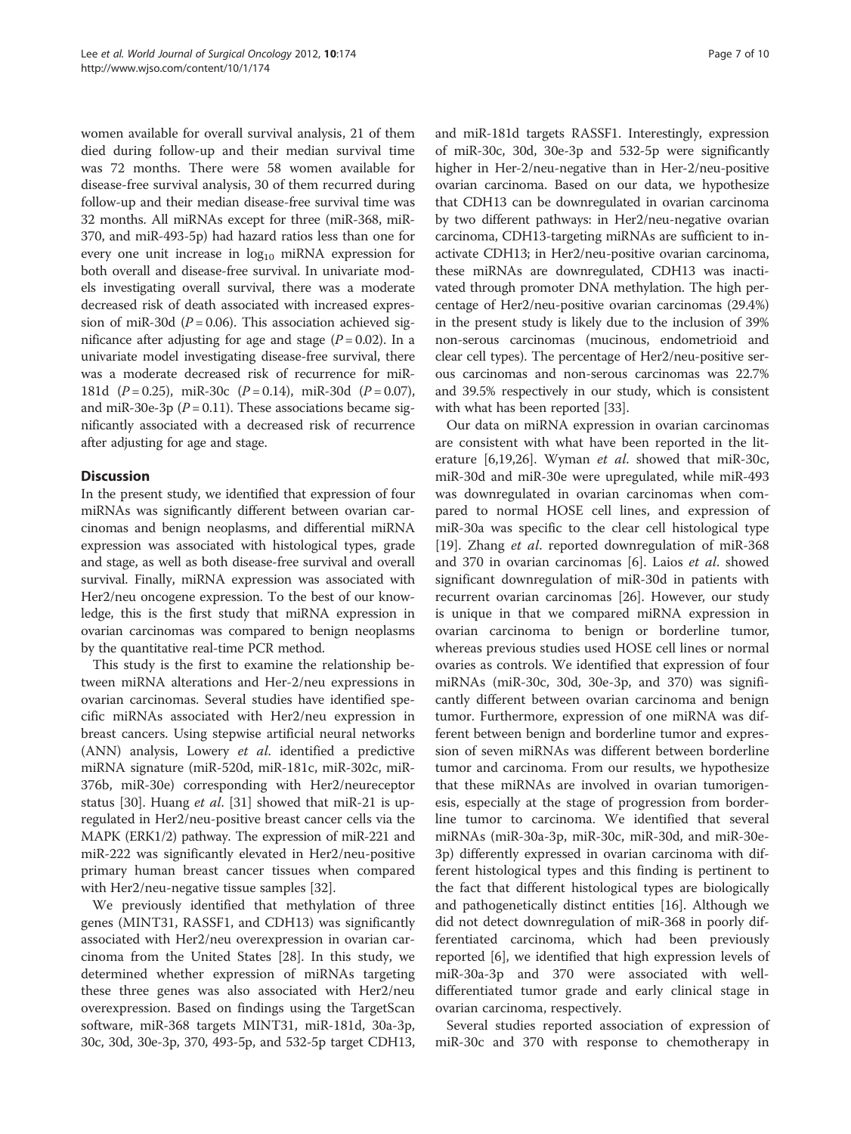women available for overall survival analysis, 21 of them died during follow-up and their median survival time was 72 months. There were 58 women available for disease-free survival analysis, 30 of them recurred during follow-up and their median disease-free survival time was 32 months. All miRNAs except for three (miR-368, miR-370, and miR-493-5p) had hazard ratios less than one for every one unit increase in log<sub>10</sub> miRNA expression for both overall and disease-free survival. In univariate models investigating overall survival, there was a moderate decreased risk of death associated with increased expression of miR-30d ( $P = 0.06$ ). This association achieved significance after adjusting for age and stage  $(P = 0.02)$ . In a univariate model investigating disease-free survival, there was a moderate decreased risk of recurrence for miR-181d  $(P = 0.25)$ , miR-30c  $(P = 0.14)$ , miR-30d  $(P = 0.07)$ , and miR-30e-3p ( $P = 0.11$ ). These associations became significantly associated with a decreased risk of recurrence after adjusting for age and stage.

## **Discussion**

In the present study, we identified that expression of four miRNAs was significantly different between ovarian carcinomas and benign neoplasms, and differential miRNA expression was associated with histological types, grade and stage, as well as both disease-free survival and overall survival. Finally, miRNA expression was associated with Her2/neu oncogene expression. To the best of our knowledge, this is the first study that miRNA expression in ovarian carcinomas was compared to benign neoplasms by the quantitative real-time PCR method.

This study is the first to examine the relationship between miRNA alterations and Her-2/neu expressions in ovarian carcinomas. Several studies have identified specific miRNAs associated with Her2/neu expression in breast cancers. Using stepwise artificial neural networks (ANN) analysis, Lowery et al. identified a predictive miRNA signature (miR-520d, miR-181c, miR-302c, miR-376b, miR-30e) corresponding with Her2/neureceptor status [[30\]](#page-8-0). Huang et al. [[31](#page-8-0)] showed that miR-21 is upregulated in Her2/neu-positive breast cancer cells via the MAPK (ERK1/2) pathway. The expression of miR-221 and miR-222 was significantly elevated in Her2/neu-positive primary human breast cancer tissues when compared with Her2/neu-negative tissue samples [\[32\]](#page-8-0).

We previously identified that methylation of three genes (MINT31, RASSF1, and CDH13) was significantly associated with Her2/neu overexpression in ovarian carcinoma from the United States [[28\]](#page-8-0). In this study, we determined whether expression of miRNAs targeting these three genes was also associated with Her2/neu overexpression. Based on findings using the TargetScan software, miR-368 targets MINT31, miR-181d, 30a-3p, 30c, 30d, 30e-3p, 370, 493-5p, and 532-5p target CDH13,

and miR-181d targets RASSF1. Interestingly, expression of miR-30c, 30d, 30e-3p and 532-5p were significantly higher in Her-2/neu-negative than in Her-2/neu-positive ovarian carcinoma. Based on our data, we hypothesize that CDH13 can be downregulated in ovarian carcinoma by two different pathways: in Her2/neu-negative ovarian carcinoma, CDH13-targeting miRNAs are sufficient to inactivate CDH13; in Her2/neu-positive ovarian carcinoma, these miRNAs are downregulated, CDH13 was inactivated through promoter DNA methylation. The high percentage of Her2/neu-positive ovarian carcinomas (29.4%) in the present study is likely due to the inclusion of 39% non-serous carcinomas (mucinous, endometrioid and clear cell types). The percentage of Her2/neu-positive serous carcinomas and non-serous carcinomas was 22.7% and 39.5% respectively in our study, which is consistent with what has been reported [[33](#page-8-0)].

Our data on miRNA expression in ovarian carcinomas are consistent with what have been reported in the lit-erature [[6,19,26\]](#page-8-0). Wyman et al. showed that miR-30c, miR-30d and miR-30e were upregulated, while miR-493 was downregulated in ovarian carcinomas when compared to normal HOSE cell lines, and expression of miR-30a was specific to the clear cell histological type [[19\]](#page-8-0). Zhang et al. reported downregulation of miR-368 and 370 in ovarian carcinomas [\[6](#page-8-0)]. Laios et al. showed significant downregulation of miR-30d in patients with recurrent ovarian carcinomas [\[26\]](#page-8-0). However, our study is unique in that we compared miRNA expression in ovarian carcinoma to benign or borderline tumor, whereas previous studies used HOSE cell lines or normal ovaries as controls. We identified that expression of four miRNAs (miR-30c, 30d, 30e-3p, and 370) was significantly different between ovarian carcinoma and benign tumor. Furthermore, expression of one miRNA was different between benign and borderline tumor and expression of seven miRNAs was different between borderline tumor and carcinoma. From our results, we hypothesize that these miRNAs are involved in ovarian tumorigenesis, especially at the stage of progression from borderline tumor to carcinoma. We identified that several miRNAs (miR-30a-3p, miR-30c, miR-30d, and miR-30e-3p) differently expressed in ovarian carcinoma with different histological types and this finding is pertinent to the fact that different histological types are biologically and pathogenetically distinct entities [\[16](#page-8-0)]. Although we did not detect downregulation of miR-368 in poorly differentiated carcinoma, which had been previously reported [\[6](#page-8-0)], we identified that high expression levels of miR-30a-3p and 370 were associated with welldifferentiated tumor grade and early clinical stage in ovarian carcinoma, respectively.

Several studies reported association of expression of miR-30c and 370 with response to chemotherapy in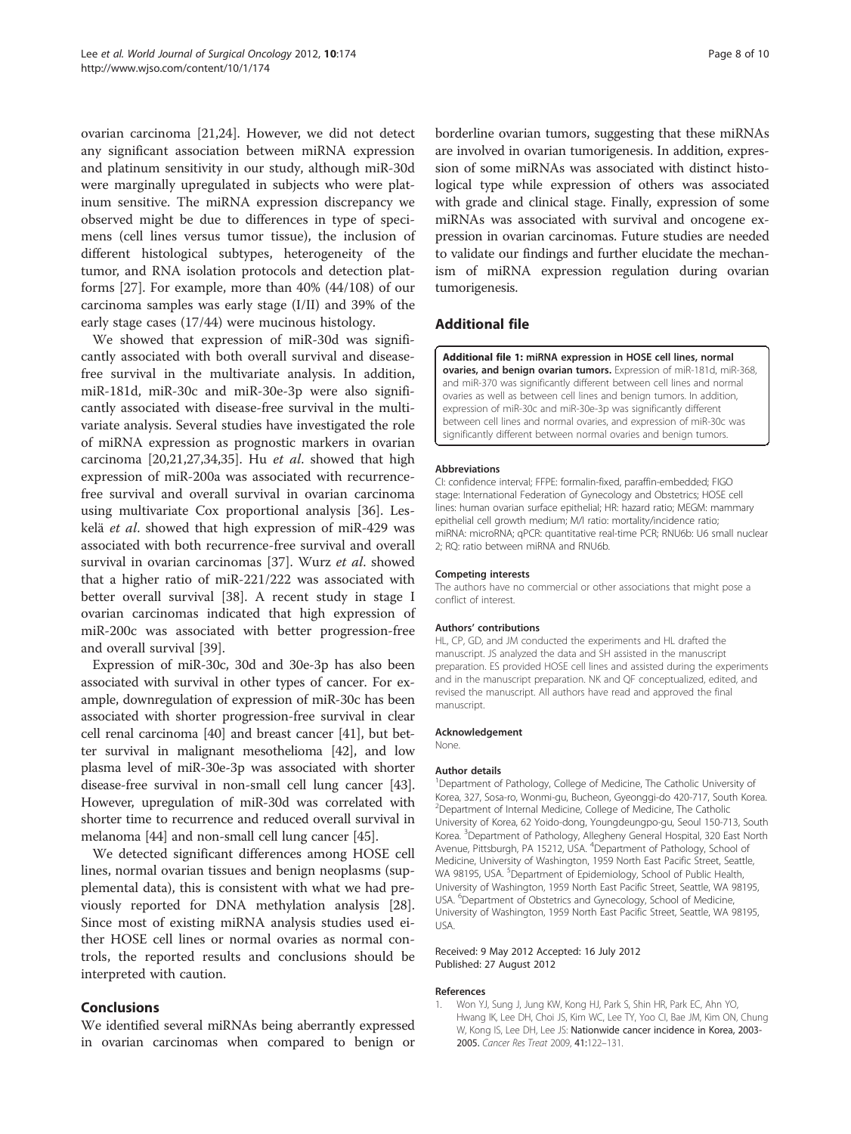<span id="page-7-0"></span>ovarian carcinoma [\[21,24\]](#page-8-0). However, we did not detect any significant association between miRNA expression and platinum sensitivity in our study, although miR-30d were marginally upregulated in subjects who were platinum sensitive. The miRNA expression discrepancy we observed might be due to differences in type of specimens (cell lines versus tumor tissue), the inclusion of different histological subtypes, heterogeneity of the tumor, and RNA isolation protocols and detection platforms [[27\]](#page-8-0). For example, more than 40% (44/108) of our carcinoma samples was early stage (I/II) and 39% of the early stage cases (17/44) were mucinous histology.

We showed that expression of miR-30d was significantly associated with both overall survival and diseasefree survival in the multivariate analysis. In addition, miR-181d, miR-30c and miR-30e-3p were also significantly associated with disease-free survival in the multivariate analysis. Several studies have investigated the role of miRNA expression as prognostic markers in ovarian carcinoma [[20,21](#page-8-0),[27](#page-8-0),[34](#page-8-0),[35](#page-8-0)]. Hu et al. showed that high expression of miR-200a was associated with recurrencefree survival and overall survival in ovarian carcinoma using multivariate Cox proportional analysis [\[36](#page-8-0)]. Leskelä et al. showed that high expression of miR-429 was associated with both recurrence-free survival and overall survival in ovarian carcinomas [[37\]](#page-8-0). Wurz et al. showed that a higher ratio of miR-221/222 was associated with better overall survival [\[38\]](#page-8-0). A recent study in stage I ovarian carcinomas indicated that high expression of miR-200c was associated with better progression-free and overall survival [[39](#page-8-0)].

Expression of miR-30c, 30d and 30e-3p has also been associated with survival in other types of cancer. For example, downregulation of expression of miR-30c has been associated with shorter progression-free survival in clear cell renal carcinoma [\[40\]](#page-9-0) and breast cancer [[41\]](#page-9-0), but better survival in malignant mesothelioma [[42\]](#page-9-0), and low plasma level of miR-30e-3p was associated with shorter disease-free survival in non-small cell lung cancer [[43](#page-9-0)]. However, upregulation of miR-30d was correlated with shorter time to recurrence and reduced overall survival in melanoma [[44](#page-9-0)] and non-small cell lung cancer [\[45\]](#page-9-0).

We detected significant differences among HOSE cell lines, normal ovarian tissues and benign neoplasms (supplemental data), this is consistent with what we had previously reported for DNA methylation analysis [\[28](#page-8-0)]. Since most of existing miRNA analysis studies used either HOSE cell lines or normal ovaries as normal controls, the reported results and conclusions should be interpreted with caution.

#### **Conclusions**

We identified several miRNAs being aberrantly expressed in ovarian carcinomas when compared to benign or borderline ovarian tumors, suggesting that these miRNAs are involved in ovarian tumorigenesis. In addition, expression of some miRNAs was associated with distinct histological type while expression of others was associated with grade and clinical stage. Finally, expression of some miRNAs was associated with survival and oncogene expression in ovarian carcinomas. Future studies are needed to validate our findings and further elucidate the mechanism of miRNA expression regulation during ovarian tumorigenesis.

## Additional file

[Additional file 1:](http://www.biomedcentral.com/content/supplementary/1477-7819-10-174-S1.pdf) miRNA expression in HOSE cell lines, normal ovaries, and benign ovarian tumors. Expression of miR-181d, miR-368, and miR-370 was significantly different between cell lines and normal ovaries as well as between cell lines and benign tumors. In addition, expression of miR-30c and miR-30e-3p was significantly different between cell lines and normal ovaries, and expression of miR-30c was significantly different between normal ovaries and benign tumors.

#### Abbreviations

CI: confidence interval; FFPE: formalin-fixed, paraffin-embedded; FIGO stage: International Federation of Gynecology and Obstetrics; HOSE cell lines: human ovarian surface epithelial; HR: hazard ratio; MEGM: mammary epithelial cell growth medium; M/I ratio: mortality/incidence ratio; miRNA: microRNA; qPCR: quantitative real-time PCR; RNU6b: U6 small nuclear 2; RQ: ratio between miRNA and RNU6b.

#### Competing interests

The authors have no commercial or other associations that might pose a conflict of interest.

#### Authors' contributions

HL, CP, GD, and JM conducted the experiments and HL drafted the manuscript. JS analyzed the data and SH assisted in the manuscript preparation. ES provided HOSE cell lines and assisted during the experiments and in the manuscript preparation. NK and QF conceptualized, edited, and revised the manuscript. All authors have read and approved the final manuscript.

#### Acknowledgement

None.

#### Author details

<sup>1</sup>Department of Pathology, College of Medicine, The Catholic University of Korea, 327, Sosa-ro, Wonmi-gu, Bucheon, Gyeonggi-do 420-717, South Korea. 2 Department of Internal Medicine, College of Medicine, The Catholic University of Korea, 62 Yoido-dong, Youngdeungpo-gu, Seoul 150-713, South Korea. <sup>3</sup> Department of Pathology, Allegheny General Hospital, 320 East North Avenue, Pittsburgh, PA 15212, USA. <sup>4</sup>Department of Pathology, School of Medicine, University of Washington, 1959 North East Pacific Street, Seattle, WA 98195, USA. <sup>5</sup>Department of Epidemiology, School of Public Health, University of Washington, 1959 North East Pacific Street, Seattle, WA 98195, USA. <sup>6</sup>Department of Obstetrics and Gynecology, School of Medicine, University of Washington, 1959 North East Pacific Street, Seattle, WA 98195, USA.

#### Received: 9 May 2012 Accepted: 16 July 2012 Published: 27 August 2012

#### References

1. Won YJ, Sung J, Jung KW, Kong HJ, Park S, Shin HR, Park EC, Ahn YO, Hwang IK, Lee DH, Choi JS, Kim WC, Lee TY, Yoo CI, Bae JM, Kim ON, Chung W, Kong IS, Lee DH, Lee JS: Nationwide cancer incidence in Korea, 2003- 2005. Cancer Res Treat 2009, 41:122–131.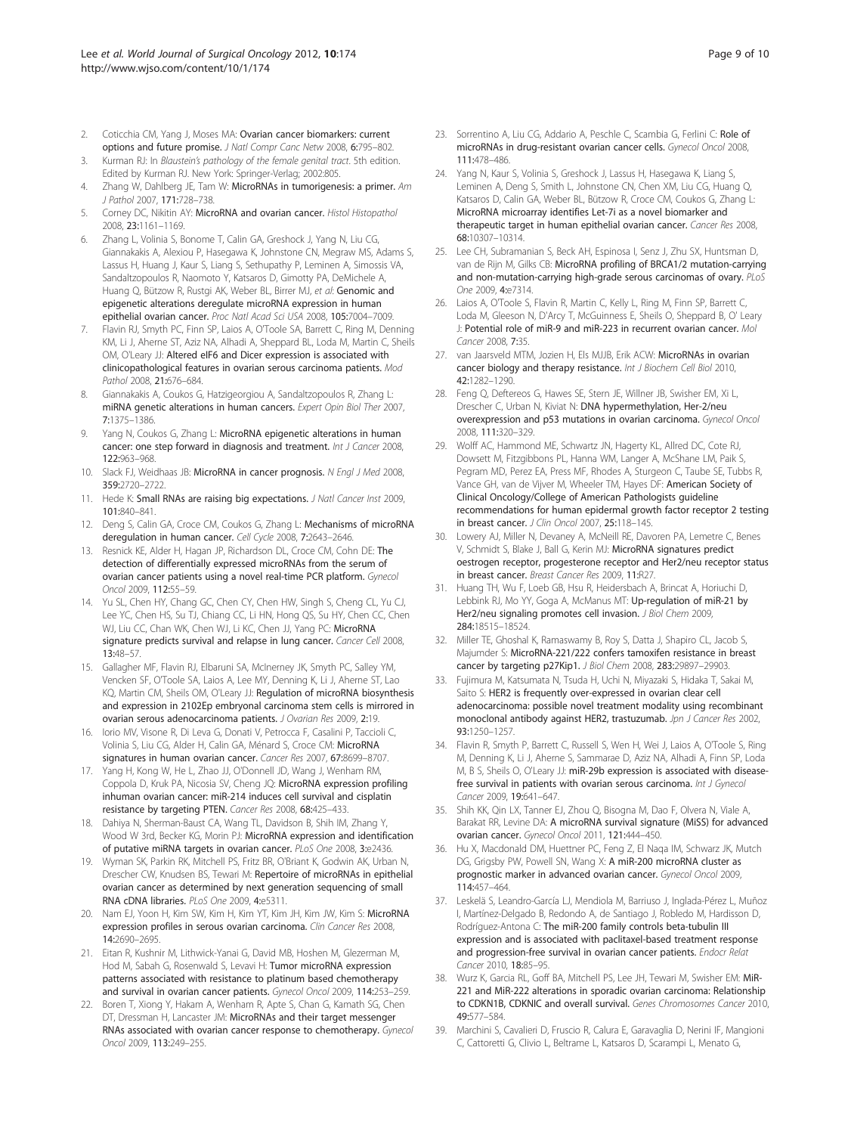- <span id="page-8-0"></span>2. Coticchia CM, Yang J, Moses MA: Ovarian cancer biomarkers: current options and future promise. J Natl Compr Canc Netw 2008, 6:795–802.
- 3. Kurman RJ: In Blaustein's pathology of the female genital tract. 5th edition. Edited by Kurman RJ. New York: Springer-Verlag; 2002:805.
- 4. Zhang W, Dahlberg JE, Tam W: MicroRNAs in tumorigenesis: a primer. Am J Pathol 2007, 171:728–738.
- 5. Corney DC, Nikitin AY: MicroRNA and ovarian cancer. Histol Histopathol 2008, 23:1161–1169.
- 6. Zhang L, Volinia S, Bonome T, Calin GA, Greshock J, Yang N, Liu CG, Giannakakis A, Alexiou P, Hasegawa K, Johnstone CN, Megraw MS, Adams S, Lassus H, Huang J, Kaur S, Liang S, Sethupathy P, Leminen A, Simossis VA, Sandaltzopoulos R, Naomoto Y, Katsaros D, Gimotty PA, DeMichele A, Huang Q, Bützow R, Rustgi AK, Weber BL, Birrer MJ, et al: Genomic and epigenetic alterations deregulate microRNA expression in human epithelial ovarian cancer. Proc Natl Acad Sci USA 2008, 105:7004–7009.
- 7. Flavin RJ, Smyth PC, Finn SP, Laios A, O'Toole SA, Barrett C, Ring M, Denning KM, Li J, Aherne ST, Aziz NA, Alhadi A, Sheppard BL, Loda M, Martin C, Sheils OM, O'Leary JJ: Altered eIF6 and Dicer expression is associated with clinicopathological features in ovarian serous carcinoma patients. Mod Pathol 2008, 21:676–684.
- 8. Giannakakis A, Coukos G, Hatzigeorgiou A, Sandaltzopoulos R, Zhang L: miRNA genetic alterations in human cancers. Expert Opin Biol Ther 2007, 7:1375–1386.
- Yang N, Coukos G, Zhang L: MicroRNA epigenetic alterations in human cancer: one step forward in diagnosis and treatment. Int J Cancer 2008, 122:963–968.
- 10. Slack FJ, Weidhaas JB: MicroRNA in cancer prognosis. N Engl J Med 2008, 359:2720–2722.
- 11. Hede K: Small RNAs are raising big expectations. J Natl Cancer Inst 2009, 101:840–841.
- 12. Deng S, Calin GA, Croce CM, Coukos G, Zhang L: Mechanisms of microRNA deregulation in human cancer. Cell Cycle 2008, 7:2643–2646.
- 13. Resnick KE, Alder H, Hagan JP, Richardson DL, Croce CM, Cohn DE: The detection of differentially expressed microRNAs from the serum of ovarian cancer patients using a novel real-time PCR platform. Gynecol Oncol 2009, 112:55–59.
- 14. Yu SL, Chen HY, Chang GC, Chen CY, Chen HW, Singh S, Cheng CL, Yu CJ, Lee YC, Chen HS, Su TJ, Chiang CC, Li HN, Hong QS, Su HY, Chen CC, Chen WJ, Liu CC, Chan WK, Chen WJ, Li KC, Chen JJ, Yang PC: MicroRNA signature predicts survival and relapse in lung cancer. Cancer Cell 2008, 13:48–57.
- 15. Gallagher MF, Flavin RJ, Elbaruni SA, McInerney JK, Smyth PC, Salley YM, Vencken SF, O'Toole SA, Laios A, Lee MY, Denning K, Li J, Aherne ST, Lao KQ, Martin CM, Sheils OM, O'Leary JJ: Regulation of microRNA biosynthesis and expression in 2102Ep embryonal carcinoma stem cells is mirrored in ovarian serous adenocarcinoma patients. J Ovarian Res 2009, 2:19.
- 16. Iorio MV, Visone R, Di Leva G, Donati V, Petrocca F, Casalini P, Taccioli C, Volinia S, Liu CG, Alder H, Calin GA, Ménard S, Croce CM: MicroRNA signatures in human ovarian cancer. Cancer Res 2007, 67:8699–8707.
- 17. Yang H, Kong W, He L, Zhao JJ, O'Donnell JD, Wang J, Wenham RM, Coppola D, Kruk PA, Nicosia SV, Cheng JQ: MicroRNA expression profiling inhuman ovarian cancer: miR-214 induces cell survival and cisplatin resistance by targeting PTEN. Cancer Res 2008, 68:425–433.
- 18. Dahiya N, Sherman-Baust CA, Wang TL, Davidson B, Shih IM, Zhang Y, Wood W 3rd, Becker KG, Morin PJ: MicroRNA expression and identification of putative miRNA targets in ovarian cancer. PLoS One 2008, 3:e2436.
- 19. Wyman SK, Parkin RK, Mitchell PS, Fritz BR, O'Briant K, Godwin AK, Urban N, Drescher CW, Knudsen BS, Tewari M: Repertoire of microRNAs in epithelial ovarian cancer as determined by next generation sequencing of small RNA cDNA libraries. PLoS One 2009, 4:e5311.
- 20. Nam EJ, Yoon H, Kim SW, Kim H, Kim YT, Kim JH, Kim JW, Kim S: MicroRNA expression profiles in serous ovarian carcinoma. Clin Cancer Res 2008, 14:2690–2695.
- 21. Eitan R, Kushnir M, Lithwick-Yanai G, David MB, Hoshen M, Glezerman M, Hod M, Sabah G, Rosenwald S, Levavi H: Tumor microRNA expression patterns associated with resistance to platinum based chemotherapy and survival in ovarian cancer patients. Gynecol Oncol 2009, 114:253–259.
- 22. Boren T, Xiong Y, Hakam A, Wenham R, Apte S, Chan G, Kamath SG, Chen DT, Dressman H, Lancaster JM: MicroRNAs and their target messenger RNAs associated with ovarian cancer response to chemotherapy. Gynecol Oncol 2009, 113:249–255.
- 23. Sorrentino A, Liu CG, Addario A, Peschle C, Scambia G, Ferlini C: Role of microRNAs in drug-resistant ovarian cancer cells. Gynecol Oncol 2008, 111:478–486.
- 24. Yang N, Kaur S, Volinia S, Greshock J, Lassus H, Hasegawa K, Liang S, Leminen A, Deng S, Smith L, Johnstone CN, Chen XM, Liu CG, Huang Q, Katsaros D, Calin GA, Weber BL, Bützow R, Croce CM, Coukos G, Zhang L: MicroRNA microarray identifies Let-7i as a novel biomarker and therapeutic target in human epithelial ovarian cancer. Cancer Res 2008, 68:10307–10314.
- 25. Lee CH, Subramanian S, Beck AH, Espinosa I, Senz J, Zhu SX, Huntsman D, van de Rijn M, Gilks CB: MicroRNA profiling of BRCA1/2 mutation-carrying and non-mutation-carrying high-grade serous carcinomas of ovary. PLoS One 2009, 4:e7314.
- 26. Laios A, O'Toole S, Flavin R, Martin C, Kelly L, Ring M, Finn SP, Barrett C, Loda M, Gleeson N, D'Arcy T, McGuinness E, Sheils O, Sheppard B, O' Leary J: Potential role of miR-9 and miR-223 in recurrent ovarian cancer. Mol Cancer 2008, 7:35.
- 27. van Jaarsveld MTM, Jozien H, Els MJJB, Erik ACW: MicroRNAs in ovarian cancer biology and therapy resistance. Int J Biochem Cell Biol 2010, 42:1282–1290.
- 28. Feng Q, Deftereos G, Hawes SE, Stern JE, Willner JB, Swisher EM, Xi L, Drescher C, Urban N, Kiviat N: DNA hypermethylation, Her-2/neu overexpression and p53 mutations in ovarian carcinoma. Gynecol Oncol 2008, 111:320–329.
- 29. Wolff AC, Hammond ME, Schwartz JN, Hagerty KL, Allred DC, Cote RJ, Dowsett M, Fitzgibbons PL, Hanna WM, Langer A, McShane LM, Paik S, Pegram MD, Perez EA, Press MF, Rhodes A, Sturgeon C, Taube SE, Tubbs R, Vance GH, van de Vijver M, Wheeler TM, Hayes DF: American Society of Clinical Oncology/College of American Pathologists guideline recommendations for human epidermal growth factor receptor 2 testing in breast cancer. J Clin Oncol 2007, 25:118–145.
- 30. Lowery AJ, Miller N, Devaney A, McNeill RE, Davoren PA, Lemetre C, Benes V, Schmidt S, Blake J, Ball G, Kerin MJ: MicroRNA signatures predict oestrogen receptor, progesterone receptor and Her2/neu receptor status in breast cancer. Breast Cancer Res 2009, 11:R27.
- 31. Huang TH, Wu F, Loeb GB, Hsu R, Heidersbach A, Brincat A, Horiuchi D, Lebbink RJ, Mo YY, Goga A, McManus MT: Up-regulation of miR-21 by Her2/neu signaling promotes cell invasion. J Biol Chem 2009, 284:18515–18524.
- 32. Miller TE, Ghoshal K, Ramaswamy B, Roy S, Datta J, Shapiro CL, Jacob S, Majumder S: MicroRNA-221/222 confers tamoxifen resistance in breast cancer by targeting p27Kip1. J Biol Chem 2008, 283:29897–29903.
- 33. Fujimura M, Katsumata N, Tsuda H, Uchi N, Miyazaki S, Hidaka T, Sakai M, Saito S: HER2 is frequently over-expressed in ovarian clear cell adenocarcinoma: possible novel treatment modality using recombinant monoclonal antibody against HER2, trastuzumab. Jpn J Cancer Res 2002, 93:1250–1257.
- 34. Flavin R, Smyth P, Barrett C, Russell S, Wen H, Wei J, Laios A, O'Toole S, Ring M, Denning K, Li J, Aherne S, Sammarae D, Aziz NA, Alhadi A, Finn SP, Loda M, B S, Sheils O, O'Leary JJ: miR-29b expression is associated with diseasefree survival in patients with ovarian serous carcinoma. Int J Gynecol Cancer 2009, 19:641–647.
- 35. Shih KK, Qin LX, Tanner EJ, Zhou Q, Bisogna M, Dao F, Olvera N, Viale A, Barakat RR, Levine DA: A microRNA survival signature (MiSS) for advanced ovarian cancer. Gynecol Oncol 2011, 121:444–450.
- 36. Hu X, Macdonald DM, Huettner PC, Feng Z, El Naqa IM, Schwarz JK, Mutch DG, Grigsby PW, Powell SN, Wang X: A miR-200 microRNA cluster as prognostic marker in advanced ovarian cancer. Gynecol Oncol 2009, 114:457–464.
- 37. Leskelä S, Leandro-García LJ, Mendiola M, Barriuso J, Inglada-Pérez L, Muñoz I, Martínez-Delgado B, Redondo A, de Santiago J, Robledo M, Hardisson D, Rodríguez-Antona C: The miR-200 family controls beta-tubulin III expression and is associated with paclitaxel-based treatment response and progression-free survival in ovarian cancer patients. Endocr Relat Cancer 2010, 18:85–95.
- 38. Wurz K, Garcia RL, Goff BA, Mitchell PS, Lee JH, Tewari M, Swisher EM: MiR-221 and MiR-222 alterations in sporadic ovarian carcinoma: Relationship to CDKN1B, CDKNIC and overall survival. Genes Chromosomes Cancer 2010, 49:577–584.
- 39. Marchini S, Cavalieri D, Fruscio R, Calura E, Garavaglia D, Nerini IF, Mangioni C, Cattoretti G, Clivio L, Beltrame L, Katsaros D, Scarampi L, Menato G,